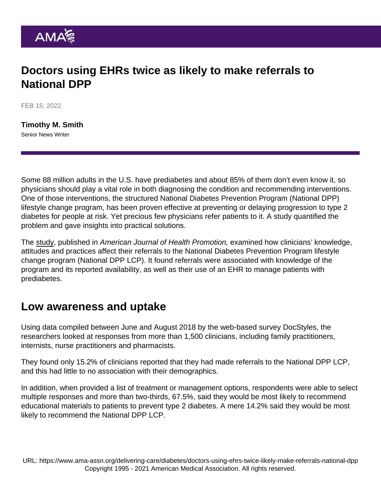## Doctors using EHRs twice as likely to make referrals to National DPP

FEB 15, 2022

[Timothy M. Smith](https://www.ama-assn.org/news-leadership-viewpoints/authors-news-leadership-viewpoints/timothy-m-smith) Senior News Writer

Some 88 million adults in the U.S. have prediabetes and about 85% of them don't even know it, so physicians should play a vital role in both diagnosing the condition and recommending interventions. One of those interventions, the structured National Diabetes Prevention Program (National DPP) lifestyle change program, has been proven effective at preventing or delaying progression to type 2 diabetes for people at risk. Yet precious few physicians refer patients to it. A study quantified the problem and gave insights into practical solutions.

The [study,](https://journals.sagepub.com/doi/full/10.1177/08901171211044937?__cf_chl_jschl_tk__=tZW19Ga0AuhdB2e8SiGudYLz295j1IXNAi0OuwdhcCs-1642475124-0-gaNycGzNB30) published in American Journal of Health Promotion, examined how clinicians' knowledge, attitudes and practices affect their referrals to the National Diabetes Prevention Program lifestyle change program (National DPP LCP). It found referrals were associated with knowledge of the program and its reported availability, as well as their use of an EHR to manage patients with prediabetes.

## Low awareness and uptake

Using data compiled between June and August 2018 by the web-based survey DocStyles, the researchers looked at responses from more than 1,500 clinicians, including family practitioners, internists, nurse practitioners and pharmacists.

They found only 15.2% of clinicians reported that they had made referrals to the National DPP LCP, and this had little to no association with their demographics.

In addition, when provided a list of treatment or management options, respondents were able to select multiple responses and more than two-thirds, 67.5%, said they would be most likely to recommend educational materials to patients to prevent type 2 diabetes. A mere 14.2% said they would be most likely to recommend the National DPP LCP.